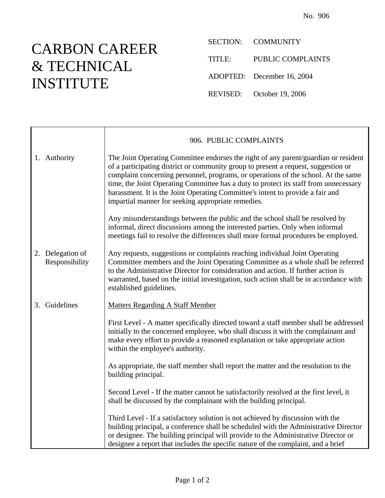## CARBON CAREER & TECHNICAL INSTITUTE

Ē

SECTION: COMMUNITY TITLE: PUBLIC COMPLAINTS ADOPTED: December 16, 2004 REVISED: October 19, 2006

|                                    | 906. PUBLIC COMPLAINTS                                                                                                                                                                                                                                                                                                                                                                                                                                                                          |
|------------------------------------|-------------------------------------------------------------------------------------------------------------------------------------------------------------------------------------------------------------------------------------------------------------------------------------------------------------------------------------------------------------------------------------------------------------------------------------------------------------------------------------------------|
| 1. Authority                       | The Joint Operating Committee endorses the right of any parent/guardian or resident<br>of a participating district or community group to present a request, suggestion or<br>complaint concerning personnel, programs, or operations of the school. At the same<br>time, the Joint Operating Committee has a duty to protect its staff from unnecessary<br>harassment. It is the Joint Operating Committee's intent to provide a fair and<br>impartial manner for seeking appropriate remedies. |
|                                    | Any misunderstandings between the public and the school shall be resolved by<br>informal, direct discussions among the interested parties. Only when informal<br>meetings fail to resolve the differences shall more formal procedures be employed.                                                                                                                                                                                                                                             |
| 2. Delegation of<br>Responsibility | Any requests, suggestions or complaints reaching individual Joint Operating<br>Committee members and the Joint Operating Committee as a whole shall be referred<br>to the Administrative Director for consideration and action. If further action is<br>warranted, based on the initial investigation, such action shall be in accordance with<br>established guidelines.                                                                                                                       |
| 3. Guidelines                      | <b>Matters Regarding A Staff Member</b>                                                                                                                                                                                                                                                                                                                                                                                                                                                         |
|                                    | First Level - A matter specifically directed toward a staff member shall be addressed<br>initially to the concerned employee, who shall discuss it with the complainant and<br>make every effort to provide a reasoned explanation or take appropriate action<br>within the employee's authority.                                                                                                                                                                                               |
|                                    | As appropriate, the staff member shall report the matter and the resolution to the<br>building principal.                                                                                                                                                                                                                                                                                                                                                                                       |
|                                    | Second Level - If the matter cannot be satisfactorily resolved at the first level, it<br>shall be discussed by the complainant with the building principal.                                                                                                                                                                                                                                                                                                                                     |
|                                    | Third Level - If a satisfactory solution is not achieved by discussion with the<br>building principal, a conference shall be scheduled with the Administrative Director<br>or designee. The building principal will provide to the Administrative Director or<br>designee a report that includes the specific nature of the complaint, and a brief                                                                                                                                              |